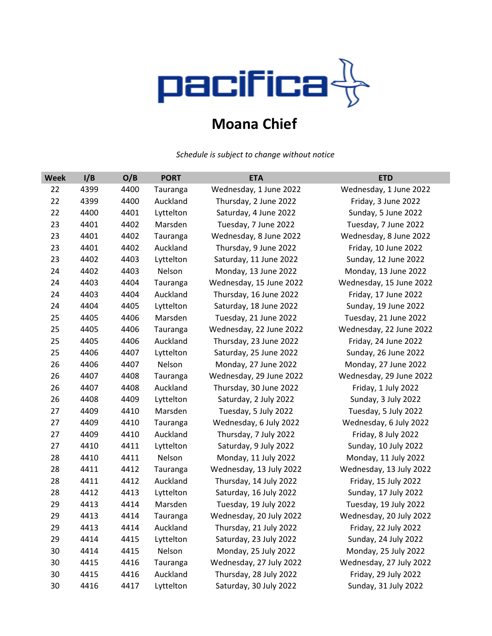

## **Moana Chief**

*Schedule is subject to change without notice*

| <b>Week</b> | I/B  | O/B  | <b>PORT</b> | <b>ETA</b>              | <b>ETD</b>              |
|-------------|------|------|-------------|-------------------------|-------------------------|
| 22          | 4399 | 4400 | Tauranga    | Wednesday, 1 June 2022  | Wednesday, 1 June 2022  |
| 22          | 4399 | 4400 | Auckland    | Thursday, 2 June 2022   | Friday, 3 June 2022     |
| 22          | 4400 | 4401 | Lyttelton   | Saturday, 4 June 2022   | Sunday, 5 June 2022     |
| 23          | 4401 | 4402 | Marsden     | Tuesday, 7 June 2022    | Tuesday, 7 June 2022    |
| 23          | 4401 | 4402 | Tauranga    | Wednesday, 8 June 2022  | Wednesday, 8 June 2022  |
| 23          | 4401 | 4402 | Auckland    | Thursday, 9 June 2022   | Friday, 10 June 2022    |
| 23          | 4402 | 4403 | Lyttelton   | Saturday, 11 June 2022  | Sunday, 12 June 2022    |
| 24          | 4402 | 4403 | Nelson      | Monday, 13 June 2022    | Monday, 13 June 2022    |
| 24          | 4403 | 4404 | Tauranga    | Wednesday, 15 June 2022 | Wednesday, 15 June 2022 |
| 24          | 4403 | 4404 | Auckland    | Thursday, 16 June 2022  | Friday, 17 June 2022    |
| 24          | 4404 | 4405 | Lyttelton   | Saturday, 18 June 2022  | Sunday, 19 June 2022    |
| 25          | 4405 | 4406 | Marsden     | Tuesday, 21 June 2022   | Tuesday, 21 June 2022   |
| 25          | 4405 | 4406 | Tauranga    | Wednesday, 22 June 2022 | Wednesday, 22 June 2022 |
| 25          | 4405 | 4406 | Auckland    | Thursday, 23 June 2022  | Friday, 24 June 2022    |
| 25          | 4406 | 4407 | Lyttelton   | Saturday, 25 June 2022  | Sunday, 26 June 2022    |
| 26          | 4406 | 4407 | Nelson      | Monday, 27 June 2022    | Monday, 27 June 2022    |
| 26          | 4407 | 4408 | Tauranga    | Wednesday, 29 June 2022 | Wednesday, 29 June 2022 |
| 26          | 4407 | 4408 | Auckland    | Thursday, 30 June 2022  | Friday, 1 July 2022     |
| 26          | 4408 | 4409 | Lyttelton   | Saturday, 2 July 2022   | Sunday, 3 July 2022     |
| 27          | 4409 | 4410 | Marsden     | Tuesday, 5 July 2022    | Tuesday, 5 July 2022    |
| 27          | 4409 | 4410 | Tauranga    | Wednesday, 6 July 2022  | Wednesday, 6 July 2022  |
| 27          | 4409 | 4410 | Auckland    | Thursday, 7 July 2022   | Friday, 8 July 2022     |
| 27          | 4410 | 4411 | Lyttelton   | Saturday, 9 July 2022   | Sunday, 10 July 2022    |
| 28          | 4410 | 4411 | Nelson      | Monday, 11 July 2022    | Monday, 11 July 2022    |
| 28          | 4411 | 4412 | Tauranga    | Wednesday, 13 July 2022 | Wednesday, 13 July 2022 |
| 28          | 4411 | 4412 | Auckland    | Thursday, 14 July 2022  | Friday, 15 July 2022    |
| 28          | 4412 | 4413 | Lyttelton   | Saturday, 16 July 2022  | Sunday, 17 July 2022    |
| 29          | 4413 | 4414 | Marsden     | Tuesday, 19 July 2022   | Tuesday, 19 July 2022   |
| 29          | 4413 | 4414 | Tauranga    | Wednesday, 20 July 2022 | Wednesday, 20 July 2022 |
| 29          | 4413 | 4414 | Auckland    | Thursday, 21 July 2022  | Friday, 22 July 2022    |
| 29          | 4414 | 4415 | Lyttelton   | Saturday, 23 July 2022  | Sunday, 24 July 2022    |
| 30          | 4414 | 4415 | Nelson      | Monday, 25 July 2022    | Monday, 25 July 2022    |
| 30          | 4415 | 4416 | Tauranga    | Wednesday, 27 July 2022 | Wednesday, 27 July 2022 |
| 30          | 4415 | 4416 | Auckland    | Thursday, 28 July 2022  | Friday, 29 July 2022    |
| 30          | 4416 | 4417 | Lyttelton   | Saturday, 30 July 2022  | Sunday, 31 July 2022    |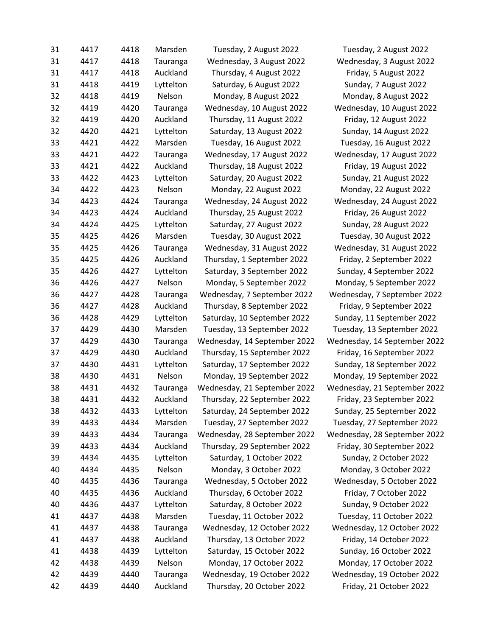| 31 | 4417 | 4418 | Marsden   | Tuesday, 2 August 2022       | Tuesday, 2 August 2022       |
|----|------|------|-----------|------------------------------|------------------------------|
| 31 | 4417 | 4418 | Tauranga  | Wednesday, 3 August 2022     | Wednesday, 3 August 2022     |
| 31 | 4417 | 4418 | Auckland  | Thursday, 4 August 2022      | Friday, 5 August 2022        |
| 31 | 4418 | 4419 | Lyttelton | Saturday, 6 August 2022      | Sunday, 7 August 2022        |
| 32 | 4418 | 4419 | Nelson    | Monday, 8 August 2022        | Monday, 8 August 2022        |
| 32 | 4419 | 4420 | Tauranga  | Wednesday, 10 August 2022    | Wednesday, 10 August 2022    |
| 32 | 4419 | 4420 | Auckland  | Thursday, 11 August 2022     | Friday, 12 August 2022       |
| 32 | 4420 | 4421 | Lyttelton | Saturday, 13 August 2022     | Sunday, 14 August 2022       |
| 33 | 4421 | 4422 | Marsden   | Tuesday, 16 August 2022      | Tuesday, 16 August 2022      |
| 33 | 4421 | 4422 | Tauranga  | Wednesday, 17 August 2022    | Wednesday, 17 August 2022    |
| 33 | 4421 | 4422 | Auckland  | Thursday, 18 August 2022     | Friday, 19 August 2022       |
| 33 | 4422 | 4423 | Lyttelton | Saturday, 20 August 2022     | Sunday, 21 August 2022       |
| 34 | 4422 | 4423 | Nelson    | Monday, 22 August 2022       | Monday, 22 August 2022       |
| 34 | 4423 | 4424 | Tauranga  | Wednesday, 24 August 2022    | Wednesday, 24 August 2022    |
| 34 | 4423 | 4424 | Auckland  | Thursday, 25 August 2022     | Friday, 26 August 2022       |
| 34 | 4424 | 4425 | Lyttelton | Saturday, 27 August 2022     | Sunday, 28 August 2022       |
| 35 | 4425 | 4426 | Marsden   | Tuesday, 30 August 2022      | Tuesday, 30 August 2022      |
| 35 | 4425 | 4426 | Tauranga  | Wednesday, 31 August 2022    | Wednesday, 31 August 2022    |
| 35 | 4425 | 4426 | Auckland  | Thursday, 1 September 2022   | Friday, 2 September 2022     |
| 35 | 4426 | 4427 | Lyttelton | Saturday, 3 September 2022   | Sunday, 4 September 2022     |
| 36 | 4426 | 4427 | Nelson    | Monday, 5 September 2022     | Monday, 5 September 2022     |
| 36 | 4427 | 4428 | Tauranga  | Wednesday, 7 September 2022  | Wednesday, 7 September 2022  |
| 36 | 4427 | 4428 | Auckland  | Thursday, 8 September 2022   | Friday, 9 September 2022     |
| 36 | 4428 | 4429 | Lyttelton | Saturday, 10 September 2022  | Sunday, 11 September 2022    |
| 37 | 4429 | 4430 | Marsden   | Tuesday, 13 September 2022   | Tuesday, 13 September 2022   |
| 37 | 4429 | 4430 | Tauranga  | Wednesday, 14 September 2022 | Wednesday, 14 September 2022 |
| 37 | 4429 | 4430 | Auckland  | Thursday, 15 September 2022  | Friday, 16 September 2022    |
| 37 | 4430 | 4431 | Lyttelton | Saturday, 17 September 2022  | Sunday, 18 September 2022    |
| 38 | 4430 | 4431 | Nelson    | Monday, 19 September 2022    | Monday, 19 September 2022    |
| 38 | 4431 | 4432 | Tauranga  | Wednesday, 21 September 2022 | Wednesday, 21 September 2022 |
| 38 | 4431 | 4432 | Auckland  | Thursday, 22 September 2022  | Friday, 23 September 2022    |
| 38 | 4432 | 4433 | Lyttelton | Saturday, 24 September 2022  | Sunday, 25 September 2022    |
| 39 | 4433 | 4434 | Marsden   | Tuesday, 27 September 2022   | Tuesday, 27 September 2022   |
| 39 | 4433 | 4434 | Tauranga  | Wednesday, 28 September 2022 | Wednesday, 28 September 2022 |
| 39 | 4433 | 4434 | Auckland  | Thursday, 29 September 2022  | Friday, 30 September 2022    |
| 39 | 4434 | 4435 | Lyttelton | Saturday, 1 October 2022     | Sunday, 2 October 2022       |
| 40 | 4434 | 4435 | Nelson    | Monday, 3 October 2022       | Monday, 3 October 2022       |
| 40 | 4435 | 4436 | Tauranga  | Wednesday, 5 October 2022    | Wednesday, 5 October 2022    |
| 40 | 4435 | 4436 | Auckland  | Thursday, 6 October 2022     | Friday, 7 October 2022       |
| 40 | 4436 | 4437 | Lyttelton | Saturday, 8 October 2022     | Sunday, 9 October 2022       |
| 41 | 4437 | 4438 | Marsden   | Tuesday, 11 October 2022     | Tuesday, 11 October 2022     |
| 41 | 4437 | 4438 | Tauranga  | Wednesday, 12 October 2022   | Wednesday, 12 October 2022   |
| 41 | 4437 | 4438 | Auckland  | Thursday, 13 October 2022    | Friday, 14 October 2022      |
| 41 | 4438 | 4439 | Lyttelton | Saturday, 15 October 2022    | Sunday, 16 October 2022      |
| 42 | 4438 | 4439 | Nelson    | Monday, 17 October 2022      | Monday, 17 October 2022      |
| 42 | 4439 | 4440 | Tauranga  | Wednesday, 19 October 2022   | Wednesday, 19 October 2022   |
| 42 | 4439 | 4440 | Auckland  | Thursday, 20 October 2022    | Friday, 21 October 2022      |